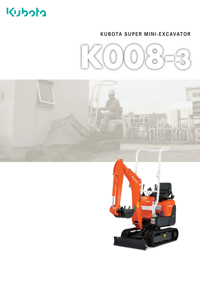# Kubota

# **KUBOTA SUPER MINI-EXCAVATOR**



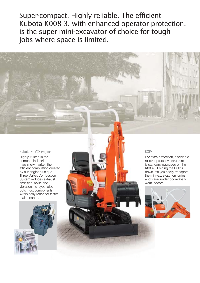Super-compact. Highly reliable. The efficient Kubota K008-3, with enhanced operator protection, is the super mini-excavator of choice for tough jobs where space is limited.

#### Kubota E-TVCS engine

Highly trusted in the compact industrial machinery market, the efficient combustion created by our engine's unique Three Vortex Combustion System reduces exhaust emission, noise and vibration. Its layout also puts most components within easy reach for faster maintenance.



#### ROPS

For extra protection, a foldable rollover protective structure is standard-equipped on the K008-3. Folding the ROPS down lets you easily transport the mini-excavator on lorries, and travel under doorways to work indoors.

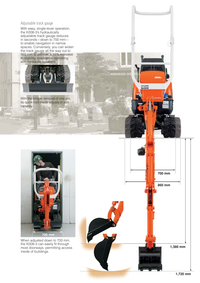## Adjustable track gauge

With easy, single-lever operation, the K008-3's hydraulically adjustable track gauge reduces in seconds—down to 700 mm to enable navigation in narrow spaces. Conversely, you can widen the track gauge all the way out to 860 mm to provide a 15% increase in stability, even while operating with hydraulic breakers.



With the simple removal of one pin, its quick-fold blade adjusts in size instantly.



When adjusted down to 700 mm, the K008-3 can easily fit through most doorways, permitting access inside of buildings.

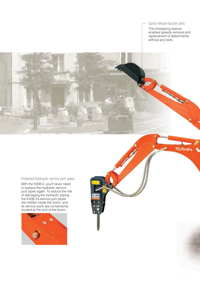## Quick-release bucket pins

This timesaving feature enables speedy removal and replacement of attachments without any tools.

**Contract Contract Contract** 

**Modu)** 

#### Protected hydraulic service port pipes

With the K008-3, you'll never need to replace the hydraulic service port pipes again. To reduce the risk of damaging the hydraulic piping, the K008-3's service port pipes are hidden inside the boom, and its service ports are conveniently located at the end of the boom.

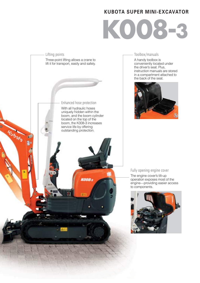# **KUBOTA SUPER MINI-EXCAVATOR**

# **K008-3**



#### Toolbox/manuals

A handy toolbox is conveniently located under the driver's seat. Plus, instruction manuals are stored in a compartment attached to the back of the seat.



#### Fully opening engine cover

The engine cover's tilt-up operation exposes most of the engine—providing easier access to components.